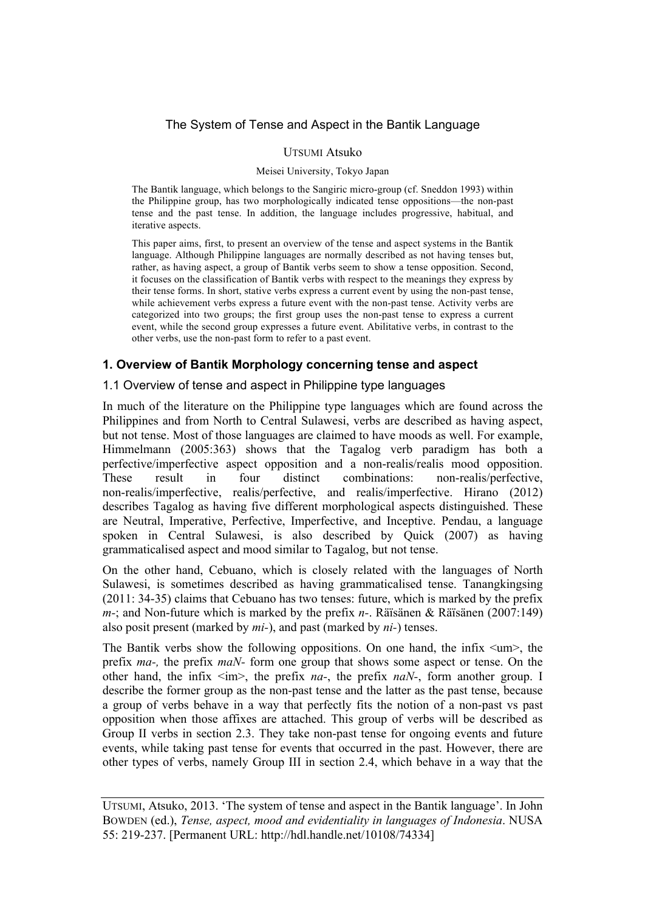## The System of Tense and Aspect in the Bantik Language

#### UTSUMI Atsuko

#### Meisei University, Tokyo Japan

The Bantik language, which belongs to the Sangiric micro-group (cf. Sneddon 1993) within the Philippine group, has two morphologically indicated tense oppositions—the non-past tense and the past tense. In addition, the language includes progressive, habitual, and iterative aspects.

This paper aims, first, to present an overview of the tense and aspect systems in the Bantik language. Although Philippine languages are normally described as not having tenses but, rather, as having aspect, a group of Bantik verbs seem to show a tense opposition. Second, it focuses on the classification of Bantik verbs with respect to the meanings they express by their tense forms. In short, stative verbs express a current event by using the non-past tense, while achievement verbs express a future event with the non-past tense. Activity verbs are categorized into two groups; the first group uses the non-past tense to express a current event, while the second group expresses a future event. Abilitative verbs, in contrast to the other verbs, use the non-past form to refer to a past event.

## **1. Overview of Bantik Morphology concerning tense and aspect**

## 1.1 Overview of tense and aspect in Philippine type languages

In much of the literature on the Philippine type languages which are found across the Philippines and from North to Central Sulawesi, verbs are described as having aspect, but not tense. Most of those languages are claimed to have moods as well. For example, Himmelmann (2005:363) shows that the Tagalog verb paradigm has both a perfective/imperfective aspect opposition and a non-realis/realis mood opposition. These result in four distinct combinations: non-realis/perfective, non-realis/imperfective, realis/perfective, and realis/imperfective. Hirano (2012) describes Tagalog as having five different morphological aspects distinguished. These are Neutral, Imperative, Perfective, Imperfective, and Inceptive. Pendau, a language spoken in Central Sulawesi, is also described by Quick (2007) as having grammaticalised aspect and mood similar to Tagalog, but not tense.

On the other hand, Cebuano, which is closely related with the languages of North Sulawesi, is sometimes described as having grammaticalised tense. Tanangkingsing (2011: 34-35) claims that Cebuano has two tenses: future, which is marked by the prefix *m-*; and Non-future which is marked by the prefix *n-*. Räïsänen & Räïsänen (2007:149) also posit present (marked by *mi-*), and past (marked by *ni-*) tenses.

The Bantik verbs show the following oppositions. On one hand, the infix  $\langle um \rangle$ , the prefix *ma-,* the prefix *maN-* form one group that shows some aspect or tense. On the other hand, the infix  $\langle im \rangle$ , the prefix *na*-, the prefix *naN*-, form another group. I describe the former group as the non-past tense and the latter as the past tense, because a group of verbs behave in a way that perfectly fits the notion of a non-past vs past opposition when those affixes are attached. This group of verbs will be described as Group II verbs in section 2.3. They take non-past tense for ongoing events and future events, while taking past tense for events that occurred in the past. However, there are other types of verbs, namely Group III in section 2.4, which behave in a way that the

UTSUMI, Atsuko, 2013. 'The system of tense and aspect in the Bantik language'. In John BOWDEN (ed.), *Tense, aspect, mood and evidentiality in languages of Indonesia*. NUSA 55: 219-237. [Permanent URL: http://hdl.handle.net/10108/74334]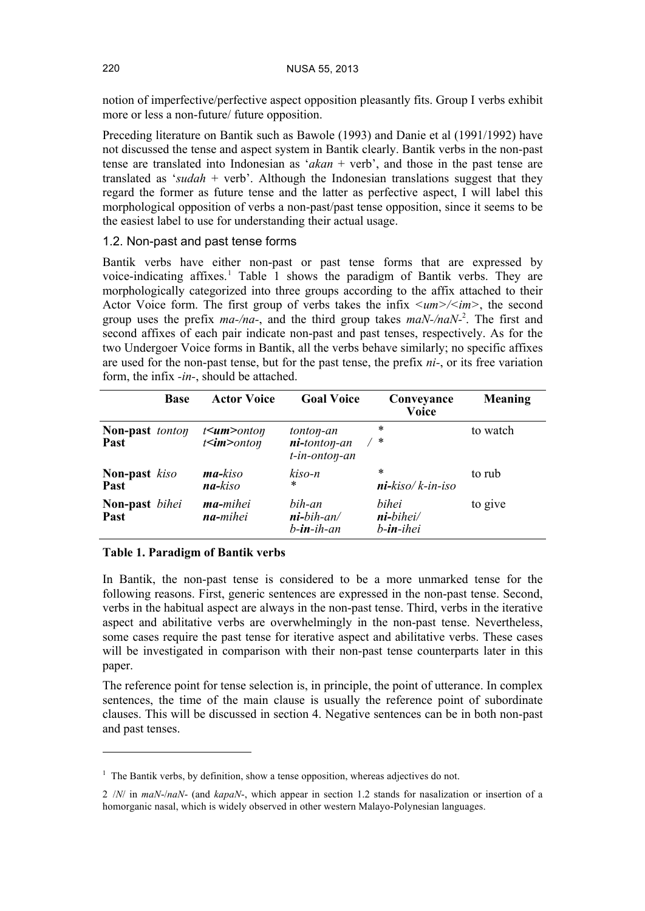notion of imperfective/perfective aspect opposition pleasantly fits. Group I verbs exhibit more or less a non-future/ future opposition.

Preceding literature on Bantik such as Bawole (1993) and Danie et al (1991/1992) have not discussed the tense and aspect system in Bantik clearly. Bantik verbs in the non-past tense are translated into Indonesian as '*akan* + verb', and those in the past tense are translated as '*sudah* + verb'. Although the Indonesian translations suggest that they regard the former as future tense and the latter as perfective aspect, I will label this morphological opposition of verbs a non-past/past tense opposition, since it seems to be the easiest label to use for understanding their actual usage.

## 1.2. Non-past and past tense forms

Bantik verbs have either non-past or past tense forms that are expressed by voice-indicating affixes.<sup>1</sup> Table 1 shows the paradigm of Bantik verbs. They are morphologically categorized into three groups according to the affix attached to their Actor Voice form. The first group of verbs takes the infix *<um>/<im>*, the second group uses the prefix *ma-/na-*, and the third group takes *maN-/naN-*2 . The first and second affixes of each pair indicate non-past and past tenses, respectively. As for the two Undergoer Voice forms in Bantik, all the verbs behave similarly; no specific affixes are used for the non-past tense, but for the past tense, the prefix *ni-*, or its free variation form, the infix *-in-*, should be attached.

|                                | <b>Base</b> | <b>Actor Voice</b>                          | <b>Goal Voice</b>                             | Conveyance<br>Voice                         | Meaning  |
|--------------------------------|-------------|---------------------------------------------|-----------------------------------------------|---------------------------------------------|----------|
| Non-past <i>tonton</i><br>Past |             | t <b><um></um></b> onton<br>$t$ sim > onton | tonton-an<br>$ni$ -tonton-an<br>t-in-onton-an | *<br>*                                      | to watch |
| <b>Non-past</b> kiso<br>Past   |             | $ma$ -kiso<br><b>na-</b> kiso               | kiso-n<br>*                                   | $\ast$<br>$ni$ -kiso/k-in-iso               | to rub   |
| Non-past bihei<br>Past         |             | <b>ma-</b> mihei<br><b>na-</b> mihei        | bih-an<br>$ni$ -bih-an/<br>$b$ -in-ih-an      | hihei<br>$ni$ -bihei/<br>b- <b>in</b> -ihei | to give  |

#### **Table 1. Paradigm of Bantik verbs**

l

In Bantik, the non-past tense is considered to be a more unmarked tense for the following reasons. First, generic sentences are expressed in the non-past tense. Second, verbs in the habitual aspect are always in the non-past tense. Third, verbs in the iterative aspect and abilitative verbs are overwhelmingly in the non-past tense. Nevertheless, some cases require the past tense for iterative aspect and abilitative verbs. These cases will be investigated in comparison with their non-past tense counterparts later in this paper.

The reference point for tense selection is, in principle, the point of utterance. In complex sentences, the time of the main clause is usually the reference point of subordinate clauses. This will be discussed in section 4. Negative sentences can be in both non-past and past tenses.

 $1$  The Bantik verbs, by definition, show a tense opposition, whereas adjectives do not.

<sup>2</sup> /*N*/ in *maN*-/*naN*- (and *kapaN*-, which appear in section 1.2 stands for nasalization or insertion of a homorganic nasal, which is widely observed in other western Malayo-Polynesian languages.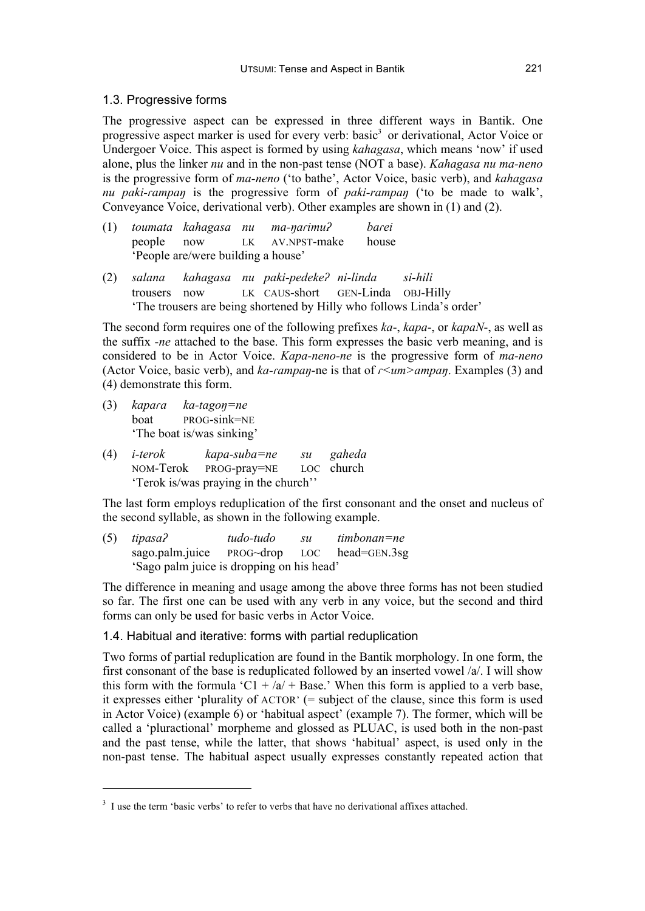## 1.3. Progressive forms

The progressive aspect can be expressed in three different ways in Bantik. One progressive aspect marker is used for every verb: basic<sup>3</sup> or derivational, Actor Voice or Undergoer Voice. This aspect is formed by using *kahagasa*, which means 'now' if used alone, plus the linker *nu* and in the non-past tense (NOT a base). *Kahagasa nu ma-neno* is the progressive form of *ma-neno* ('to bathe', Actor Voice, basic verb), and *kahagasa nu paki-ɾampaŋ* is the progressive form of *paki-rampaŋ* ('to be made to walk', Conveyance Voice, derivational verb). Other examples are shown in (1) and (2).

- (1) *toumata kahagasa nu ma-ŋaɾimuʔ baɾei* people now LK AV.NPST-make house 'People are/were building a house'
- (2) *salana kahagasa nu paki-pedekeʔ ni-linda si-hili* trousers now LK CAUS-short GEN-Linda OBJ-Hilly 'The trousers are being shortened by Hilly who follows Linda's order'

The second form requires one of the following prefixes *ka*-, *kapa*-, or *kapaN*-, as well as the suffix -*ne* attached to the base. This form expresses the basic verb meaning, and is considered to be in Actor Voice. *Kapa-neno-ne* is the progressive form of *ma-neno* (Actor Voice, basic verb), and *ka-ɾampaŋ*-ne is that of *ɾ<um>ampaŋ*. Examples (3) and (4) demonstrate this form.

(3) *kapaɾa ka-tagoŋ=ne* boat PROG-sink=NE 'The boat is/was sinking'

l

(4) *i-terok kapa-suba=ne su gaheda* NOM-Terok PROG-pray=NE LOC church 'Terok is/was praying in the church''

The last form employs reduplication of the first consonant and the onset and nucleus of the second syllable, as shown in the following example.

| $(5)$ tipasa?                              | tudo-tudo | -SU | $timbonan = ne$ |
|--------------------------------------------|-----------|-----|-----------------|
| sago.palm.juice PROG~drop LOC head=GEN.3sg |           |     |                 |
| 'Sago palm juice is dropping on his head'  |           |     |                 |

The difference in meaning and usage among the above three forms has not been studied so far. The first one can be used with any verb in any voice, but the second and third forms can only be used for basic verbs in Actor Voice.

## 1.4. Habitual and iterative: forms with partial reduplication

Two forms of partial reduplication are found in the Bantik morphology. In one form, the first consonant of the base is reduplicated followed by an inserted vowel  $\alpha$ . I will show this form with the formula 'C1 +  $/a$  + Base.' When this form is applied to a verb base, it expresses either 'plurality of ACTOR' (= subject of the clause, since this form is used in Actor Voice) (example 6) or 'habitual aspect' (example 7). The former, which will be called a 'pluractional' morpheme and glossed as PLUAC, is used both in the non-past and the past tense, while the latter, that shows 'habitual' aspect, is used only in the non-past tense. The habitual aspect usually expresses constantly repeated action that

<sup>&</sup>lt;sup>3</sup> I use the term 'basic verbs' to refer to verbs that have no derivational affixes attached.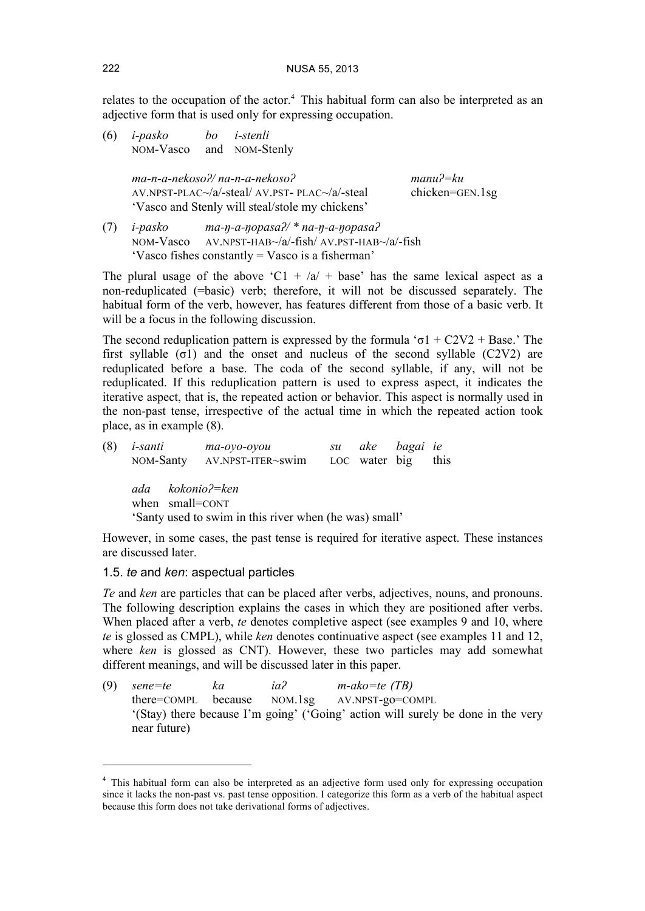relates to the occupation of the actor.<sup>4</sup> This habitual form can also be interpreted as an adjective form that is used only for expressing occupation.

(6) *i-pasko bo i-stenli* NOM-Vasco and NOM-Stenly

> *ma-n-a-nekosoʔ/ na-n-a-nekosoʔ manuʔ=ku* AV.NPST-PLAC~/a/-steal/ AV.PST- PLAC~/a/-steal chicken=GEN.1sg 'Vasco and Stenly will steal/stole my chickens'

(7) *i-pasko ma-ŋ-a-ŋopasaʔ/ \* na-ŋ-a-ŋopasaʔ* NOM-Vasco AV.NPST-HAB~/a/-fish/ AV.PST-HAB~/a/-fish 'Vasco fishes constantly = Vasco is a fisherman'

The plural usage of the above 'C1 +  $/a$  + base' has the same lexical aspect as a non-reduplicated (=basic) verb; therefore, it will not be discussed separately. The habitual form of the verb, however, has features different from those of a basic verb. It will be a focus in the following discussion.

The second reduplication pattern is expressed by the formula  $\sigma$ 1 + C2V2 + Base.' The first syllable  $(\sigma1)$  and the onset and nucleus of the second syllable (C2V2) are reduplicated before a base. The coda of the second syllable, if any, will not be reduplicated. If this reduplication pattern is used to express aspect, it indicates the iterative aspect, that is, the repeated action or behavior. This aspect is normally used in the non-past tense, irrespective of the actual time in which the repeated action took place, as in example (8).

| (8) | i-santi   | ma-oyo-oyou       | su |               | ake bagai ie |      |
|-----|-----------|-------------------|----|---------------|--------------|------|
|     | NOM-Santy | AV.NPST-ITER~swim |    | LOC water big |              | this |

*ada kokonioʔ=ken* when small=CONT 'Santy used to swim in this river when (he was) small'

However, in some cases, the past tense is required for iterative aspect. These instances are discussed later.

#### 1.5. *te* and *ken*: aspectual particles

l

*Te* and *ken* are particles that can be placed after verbs, adjectives, nouns, and pronouns. The following description explains the cases in which they are positioned after verbs. When placed after a verb, *te* denotes completive aspect (see examples 9 and 10, where *te* is glossed as CMPL), while *ken* denotes continuative aspect (see examples 11 and 12, where *ken* is glossed as CNT). However, these two particles may add somewhat different meanings, and will be discussed later in this paper.

(9) *sene=te ka iaʔ m-ako=te (TB)* there=COMPL because NOM.1sg AV.NPST-go=COMPL '(Stay) there because I'm going' ('Going' action will surely be done in the very near future)

<sup>4</sup> This habitual form can also be interpreted as an adjective form used only for expressing occupation since it lacks the non-past vs. past tense opposition. I categorize this form as a verb of the habitual aspect because this form does not take derivational forms of adjectives.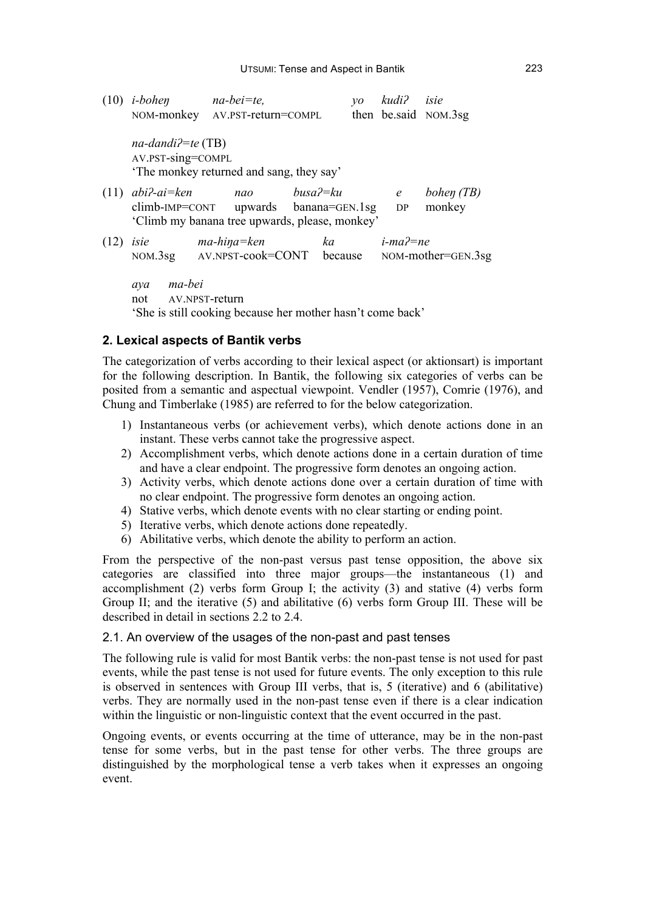| (10) | i-bohen<br>NOM-monkey                                                                | $na-bei = te$ .<br>AV.PST-return=COMPL |                        | vo | kudi? | isie<br>then be said NOM.3sg |
|------|--------------------------------------------------------------------------------------|----------------------------------------|------------------------|----|-------|------------------------------|
|      | $na$ -dandi?=te (TB)<br>AV.PST-sing=COMPL<br>The monkey returned and sang, they say' |                                        |                        |    |       |                              |
|      | $(11)$ abi?-ai=ken                                                                   | nao                                    | $busa$ <i>P</i> = $ku$ |    | e     | bohen (TB)                   |

climb-IMP=CONT upwards banana=GEN.1sg DP monkey 'Climb my banana tree upwards, please, monkey'

| $(12)$ isie | $ma$ -hi $pa$ =ken        | ka | $i$ -ma $i$ =ne    |
|-------------|---------------------------|----|--------------------|
| NOM.3sg     | AV.NPST-cook=CONT because |    | NOM-mother=GEN.3sg |

*aya ma-bei* not AV.NPST-return 'She is still cooking because her mother hasn't come back'

## **2. Lexical aspects of Bantik verbs**

The categorization of verbs according to their lexical aspect (or aktionsart) is important for the following description. In Bantik, the following six categories of verbs can be posited from a semantic and aspectual viewpoint. Vendler (1957), Comrie (1976), and Chung and Timberlake (1985) are referred to for the below categorization.

- 1) Instantaneous verbs (or achievement verbs), which denote actions done in an instant. These verbs cannot take the progressive aspect.
- 2) Accomplishment verbs, which denote actions done in a certain duration of time and have a clear endpoint. The progressive form denotes an ongoing action.
- 3) Activity verbs, which denote actions done over a certain duration of time with no clear endpoint. The progressive form denotes an ongoing action.
- 4) Stative verbs, which denote events with no clear starting or ending point.
- 5) Iterative verbs, which denote actions done repeatedly.
- 6) Abilitative verbs, which denote the ability to perform an action.

From the perspective of the non-past versus past tense opposition, the above six categories are classified into three major groups—the instantaneous (1) and accomplishment  $(2)$  verbs form Group I; the activity  $(3)$  and stative  $(4)$  verbs form Group II; and the iterative (5) and abilitative (6) verbs form Group III. These will be described in detail in sections 2.2 to 2.4.

## 2.1. An overview of the usages of the non-past and past tenses

The following rule is valid for most Bantik verbs: the non-past tense is not used for past events, while the past tense is not used for future events. The only exception to this rule is observed in sentences with Group III verbs, that is, 5 (iterative) and 6 (abilitative) verbs. They are normally used in the non-past tense even if there is a clear indication within the linguistic or non-linguistic context that the event occurred in the past.

Ongoing events, or events occurring at the time of utterance, may be in the non-past tense for some verbs, but in the past tense for other verbs. The three groups are distinguished by the morphological tense a verb takes when it expresses an ongoing event.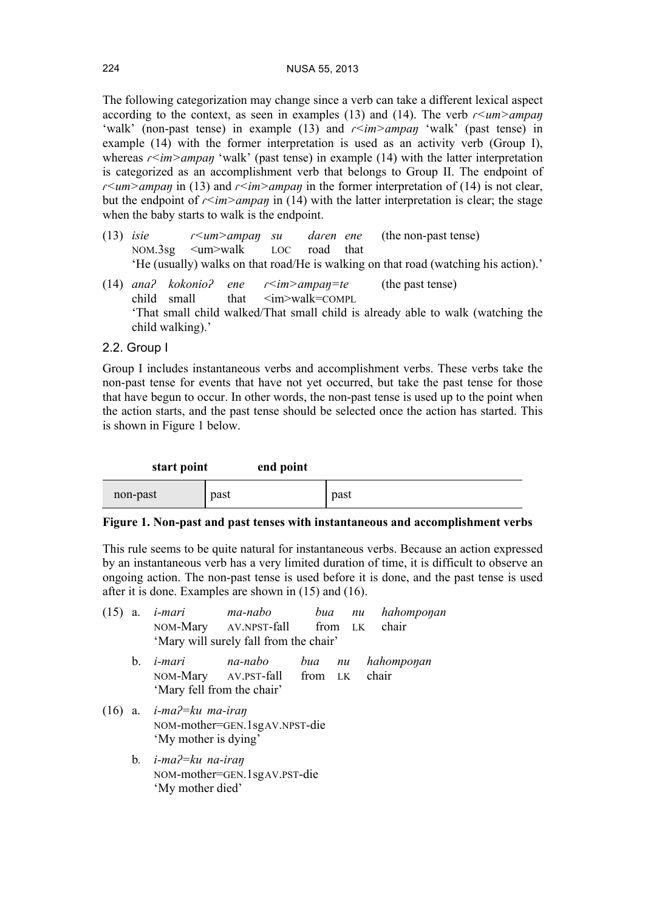The following categorization may change since a verb can take a different lexical aspect according to the context, as seen in examples (13) and (14). The verb *ɾ<um>ampaŋ* 'walk' (non-past tense) in example (13) and *ɾ<im>ampaŋ* 'walk' (past tense) in example (14) with the former interpretation is used as an activity verb (Group I), whereas  $$ is categorized as an accomplishment verb that belongs to Group II. The endpoint of *ɾ<um>ampaŋ* in (13) and *ɾ<im>ampaŋ* in the former interpretation of (14) is not clear, but the endpoint of  $r \leq im \geq ampan$  in (14) with the latter interpretation is clear; the stage when the baby starts to walk is the endpoint.

- (13) *isie ɾ<um>ampaŋ su daɾen ene* (the non-past tense) NOM.3sg <um>walk LOC road that 'He (usually) walks on that road/He is walking on that road (watching his action).'
- (14)  $ana^2$  *kokonio?* ene  $r \leq im \geq ampan = te$  (the past tense) child small that  $\leq m$ >walk=COMPL 'That small child walked/That small child is already able to walk (watching the child walking).'
- 2.2. Group I

Group I includes instantaneous verbs and accomplishment verbs. These verbs take the non-past tense for events that have not yet occurred, but take the past tense for those that have begun to occur. In other words, the non-past tense is used up to the point when the action starts, and the past tense should be selected once the action has started. This is shown in Figure 1 below.

| start point |      | end point |      |
|-------------|------|-----------|------|
| non-past    | past |           | past |

## **Figure 1. Non-past and past tenses with instantaneous and accomplishment verbs**

This rule seems to be quite natural for instantaneous verbs. Because an action expressed by an instantaneous verb has a very limited duration of time, it is difficult to observe an ongoing action. The non-past tense is used before it is done, and the past tense is used after it is done. Examples are shown in (15) and (16).

| $(15)$ a. |         | i-mari ma-nabo                                            | NOM-Mary AV.NPST-fall from LK chair<br>'Mary will surely fall from the chair' | bua                  |    | hahomponan<br>nu |
|-----------|---------|-----------------------------------------------------------|-------------------------------------------------------------------------------|----------------------|----|------------------|
|           | $b_{1}$ | <i>i-mari</i><br>'Mary fell from the chair'               | na-nabo<br>NOM-Mary AV.PST-fall                                               | bua<br>from LK chair | nu | hahomponan       |
|           |         | $(16)$ a. <i>i-ma?=ku ma-iran</i><br>'My mother is dying' | NOM-mother=GEN.1sgAV.NPST-die                                                 |                      |    |                  |
|           | b.      | i-ma?=ku na-iraŋ                                          | NOM-mother=GEN.1sgAV.PST-die                                                  |                      |    |                  |

'My mother died'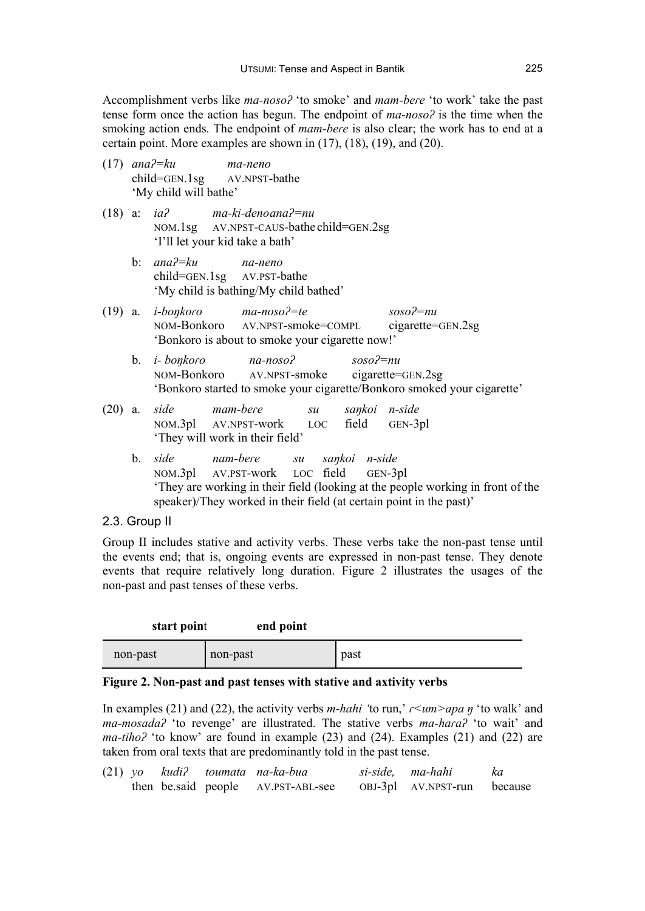Accomplishment verbs like *ma-nosoʔ* 'to smoke' and *mam-beɾe* 'to work' take the past tense form once the action has begun. The endpoint of *ma-nosoʔ* is the time when the smoking action ends. The endpoint of *mam-bere* is also clear; the work has to end at a certain point. More examples are shown in (17), (18), (19), and (20).

- (17) *anaʔ=ku ma-neno* child=GEN.1sg AV.NPST-bathe 'My child will bathe'
- (18) a: *iaʔ ma-ki-denoanaʔ=nu* NOM.1sg AV.NPST-CAUS-bathe child=GEN.2sg 'I'll let your kid take a bath'
	- b: *anaʔ=ku na-neno* child=GEN.1sg AV.PST-bathe 'My child is bathing/My child bathed'
- (19) a. *i-boŋkoɾo ma-nosoʔ=te sosoʔ=nu* NOM-Bonkoro AV.NPST-smoke=COMPL cigarette=GEN.2sg 'Bonkoro is about to smoke your cigarette now!'
	- b. *i- boŋkoɾo na-nosoʔ sosoʔ=nu* NOM-Bonkoro AV.NPST-smoke cigarette=GEN.2sg 'Bonkoro started to smoke your cigarette/Bonkoro smoked your cigarette'
- (20) a. *side mam-beɾe su saŋkoi n-side* NOM.3pl AV.NPST-work LOC field GEN-3pl 'They will work in their field'
	- b. *side nam-beɾe su saŋkoi n-side* NOM.3pl AV.PST-work LOC field GEN-3pl 'They are working in their field (looking at the people working in front of the speaker)/They worked in their field (at certain point in the past)'

#### 2.3. Group II

Group II includes stative and activity verbs. These verbs take the non-past tense until the events end; that is, ongoing events are expressed in non-past tense. They denote events that require relatively long duration. Figure 2 illustrates the usages of the non-past and past tenses of these verbs.

| start point | end point |      |
|-------------|-----------|------|
| non-past    | non-past  | past |

## **Figure 2. Non-past and past tenses with stative and axtivity verbs**

In examples (21) and (22), the activity verbs *m-hahi '*to run,' *ɾ<um>apa ŋ* 'to walk' and *ma-mosadaʔ* 'to revenge' are illustrated. The stative verbs *ma-haɾaʔ* 'to wait' and *ma-tihoʔ* 'to know' are found in example (23) and (24). Examples (21) and (22) are taken from oral texts that are predominantly told in the past tense.

|  |  | (21) yo kudi? toumata na-ka-bua    | si-side, ma-hahi            | ka |
|--|--|------------------------------------|-----------------------------|----|
|  |  | then be said people AV.PST-ABL-see | OBJ-3pl AV.NPST-run because |    |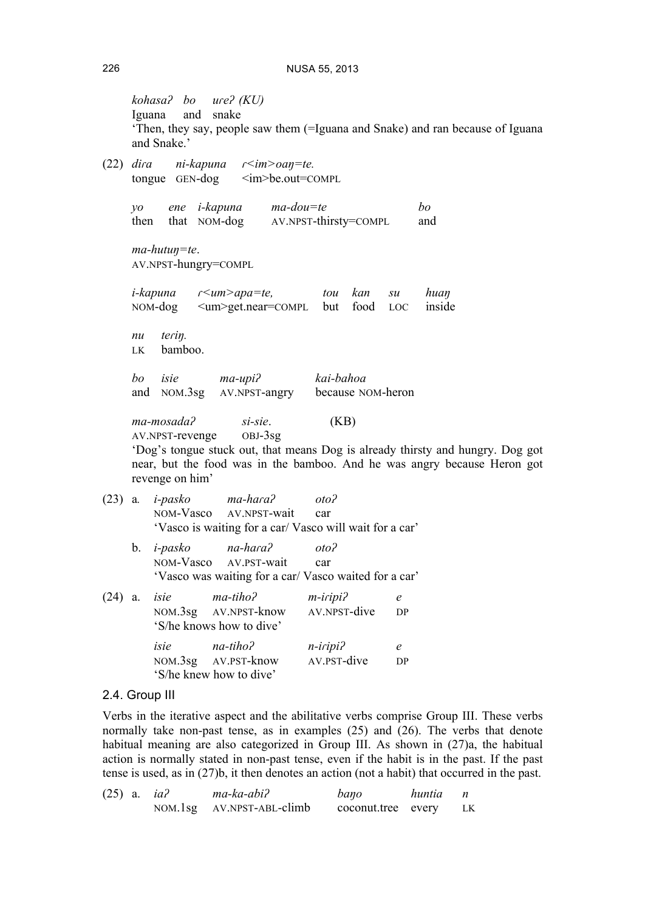*kohasaʔ bo uɾeʔ (KU)* Iguana and snake 'Then, they say, people saw them (=Iguana and Snake) and ran because of Iguana and Snake.' (22) *diɾa ni-kapuna ɾ<im>oaŋ=te.* tongue GEN-dog  $\leq$ im>be.out=COMPL *yo ene i-kapuna ma-dou=te bo* then that NOM-dog AV.NPST-thirsty=COMPL and *ma-hutuŋ=te*. AV.NPST-hungry=COMPL *i-kapuna ɾ<um>apa=te, tou kan su huaŋ* NOM-dog <um>get.near=COMPL but food LOC inside *nu teɾiŋ.* LK bamboo. *bo isie ma-upiʔ kai-bahoa* and NOM.3sg AV.NPST-angry because NOM-heron *ma-mosadaʔ si-sie*. (KB) AV.NPST-revenge OBJ-3sg 'Dog's tongue stuck out, that means Dog is already thirsty and hungry. Dog got near, but the food was in the bamboo. And he was angry because Heron got revenge on him' (23) a*. i-pasko ma-haɾaʔ otoʔ* NOM-Vasco AV.NPST-wait car 'Vasco is waiting for a car/ Vasco will wait for a car' b. *i-pasko na-haɾaʔ otoʔ* NOM-Vasco AV.PST-wait car 'Vasco was waiting for a car/ Vasco waited for a car' (24) a. *isie*  $ma\text{-}tiho?$   $m\text{-}i\text{-}ripi?$  e NOM.3sg AV.NPST-know AV.NPST-dive DP 'S/he knows how to dive'  *isie na-tihoʔ n-iɾipiʔ e* NOM.3sg AV.PST-know AV.PST-dive DP 'S/he knew how to dive'

#### 2.4. Group III

Verbs in the iterative aspect and the abilitative verbs comprise Group III. These verbs normally take non-past tense, as in examples (25) and (26). The verbs that denote habitual meaning are also categorized in Group III. As shown in (27)a, the habitual action is normally stated in non-past tense, even if the habit is in the past. If the past tense is used, as in (27)b, it then denotes an action (not a habit) that occurred in the past.

| $(25)$ a. <i>ia</i> ? |  | ma-ka-abi?                | bano               | huntia n |  |
|-----------------------|--|---------------------------|--------------------|----------|--|
|                       |  | NOM.1sg AV.NPST-ABL-climb | coconut.tree every |          |  |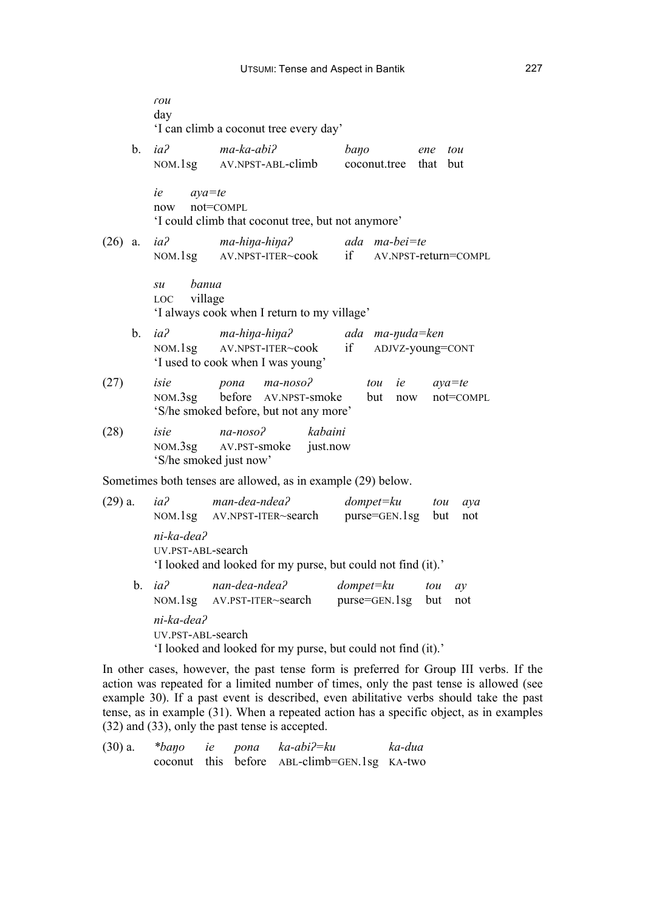|           |                | rou<br>day                        | 'I can climb a coconut tree every day'                                                                    |              |                          |
|-----------|----------------|-----------------------------------|-----------------------------------------------------------------------------------------------------------|--------------|--------------------------|
|           | $\mathbf{b}$ . |                                   | ia? ma-ka-abi?<br>NOM.1sg AV.NPST-ABL-climb coconut.tree that but                                         | bano ene tou |                          |
|           |                | ie<br>$aya = te$<br>now not=COMPL | 'I could climb that coconut tree, but not anymore'                                                        |              |                          |
| $(26)$ a. |                |                                   | ia? ma-hina-hina? ada ma-bei=te<br>NOM.1sg AV.NPST-ITER~cook if AV.NPST-return=COMPL                      |              |                          |
|           |                | hanua<br>su<br>LOC village        | 'I always cook when I return to my village'                                                               |              |                          |
|           | $b_{-}$        | ia?                               | ma-hiŋa-hiŋa? ada ma-ŋuda=ken<br>NOM.1sg AV.NPST-ITER~cook if<br>'I used to cook when I was young'        |              | ADJVZ-young=CONT         |
| (27)      |                | isie                              | pona ma-noso?<br>NOM.3sg before AV.NPST-smoke but now not=COMPL<br>'S/he smoked before, but not any more' |              | tou ie $aya = te$        |
| (28)      |                | isie                              | na-noso?<br>kabaini<br>NOM.3sg AV.PST-smoke just.now<br>'S/he smoked just now'                            |              |                          |
|           |                |                                   | Sometimes both tenses are allowed, as in example (29) below.                                              |              |                          |
| $(29)$ a. |                |                                   | ia? man-dea-ndea? dompet=ku<br>NOM.1sg AV.NPST-ITER~search purse=GEN.1sg                                  |              | tou<br>aya<br>but<br>not |
|           |                | ni-ka-dea?<br>UV.PST-ABL-search   | 'I looked and looked for my purse, but could not find (it).'                                              |              |                          |

|  |                                                              | $h$ <i>ia</i> $2$ | nan-dea-ndea?<br>$NOM.1sg$ $AV.PST-ITER\sim search$ | dompet=ku<br>purse=GEN.1sg but not | tou | av |  |
|--|--------------------------------------------------------------|-------------------|-----------------------------------------------------|------------------------------------|-----|----|--|
|  | ni-ka-dea?<br>UV.PST-ABL-search                              |                   |                                                     |                                    |     |    |  |
|  | 'I looked and looked for my purse, but could not find (it).' |                   |                                                     |                                    |     |    |  |

In other cases, however, the past tense form is preferred for Group III verbs. If the action was repeated for a limited number of times, only the past tense is allowed (see example 30). If a past event is described, even abilitative verbs should take the past tense, as in example (31). When a repeated action has a specific object, as in examples (32) and (33), only the past tense is accepted.

| $(30)$ a. |  | *bano ie pona ka-abi?=ku                     | ka-dua |
|-----------|--|----------------------------------------------|--------|
|           |  | coconut this before ABL-climb=GEN.1sg KA-two |        |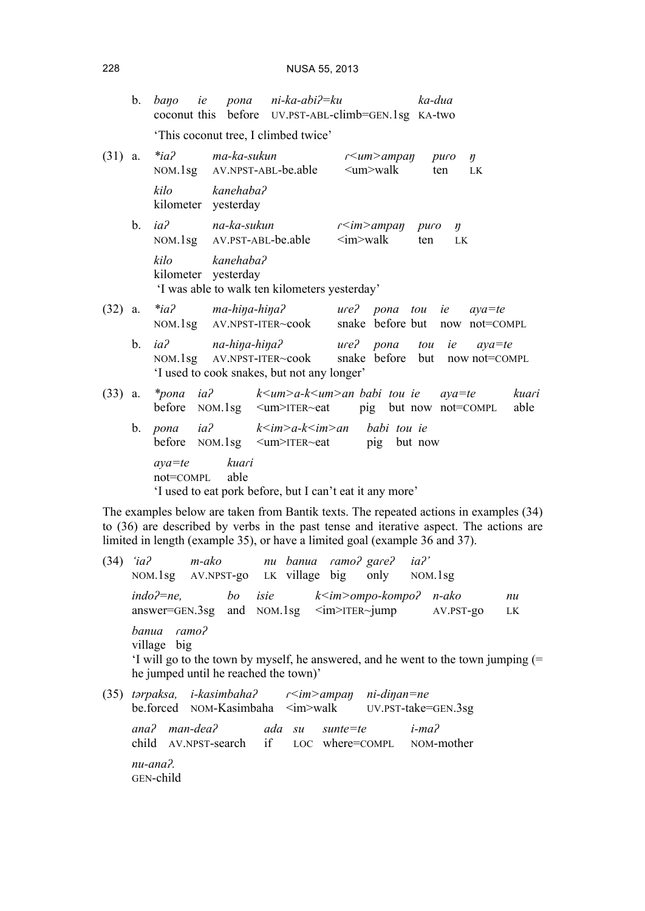|           | b.             |                                       |                                               | bano ie pona ni-ka-abi?=ku<br>coconut this before UV.PST-ABL-climb=GEN.1sg KA-two                                                           | ka-dua |        |
|-----------|----------------|---------------------------------------|-----------------------------------------------|---------------------------------------------------------------------------------------------------------------------------------------------|--------|--------|
|           |                |                                       | 'This coconut tree, I climbed twice'          |                                                                                                                                             |        |        |
| $(31)$ a. |                |                                       |                                               | *ia? ma-ka-sukun r <um>ampan puro<br/>NOM.1sg AV.NPST-ABL-be.able <um>walk ten LK</um></um>                                                 |        | $\eta$ |
|           |                | kilo kanehaba?<br>kilometer yesterday |                                               |                                                                                                                                             |        |        |
|           | $\mathbf{b}$ . |                                       |                                               | $ia$ ? na-ka-sukun $r$ <im>ampa<math>\eta</math> puro <math>\eta</math><br/>NOM.1sg AV.PST-ABL-be.able <math>\leq m</math>&gt;walk ten</im> | LK     |        |
|           |                | kilo kanehaba?<br>kilometer yesterday | 'I was able to walk ten kilometers yesterday' |                                                                                                                                             |        |        |
|           |                |                                       |                                               | $(32)$ a. *ia? ma-hing-hing? ure? pona tou ie aya=te<br>NOM.1sg AV.NPST-ITER~cook snake before but now not=COMPL                            |        |        |
|           | $\mathbf{b}$ . |                                       | 'I used to cook snakes, but not any longer'   | ia? na-hina-hina? ure? pona tou ie aya=te<br>NOM.1sg AV.NPST-ITER~cook snake before but now not=COMPL                                       |        |        |
| $(33)$ a. |                |                                       |                                               | *pona ia? k <um>a-k<um>an babi tou ie aya=te<br/>before NOM.1sg <um>ITER~eat pig but now not=COMPL able</um></um></um>                      |        | kuari  |
|           | b.             |                                       |                                               | pona ia? k <im>a-k<im>an babi tou ie<br/>before NOM.1sg <um>ITER~eat pig but now</um></im></im>                                             |        |        |
|           |                | aya=te kuari<br>not=compl able        |                                               | 'I used to eat pork before, but I can't eat it any more'                                                                                    |        |        |

The examples below are taken from Bantik texts. The repeated actions in examples (34) to (36) are described by verbs in the past tense and iterative aspect. The actions are limited in length (example 35), or have a limited goal (example 36 and 37).

- (34) *'iaʔ m-ako nu banua ɾamoʔ gaɾeʔ iaʔ'* NOM.1sg AV.NPST-go LK village big only NOM.1sg *indoʔ=ne, bo isie k<im>ompo-kompoʔ n-ako nu* answer=GEN.3sg and NOM.1sg  $\leq$ im>ITER $\sim$ jump AV.PST-go LK *banua ɾamoʔ* village big 'I will go to the town by myself, he answered, and he went to the town jumping (= he jumped until he reached the town)'
- (35) *tərpaksa, i-kasimbahaʔ ɾ<im>ampaŋ ni-diŋan=ne* be.forced NOM-Kasimbaha <im>walk UV.PST-take=GEN.3sg *anaʔ man-deaʔ ada su sunte=te i-maʔ*  $child$  AV.NPST-search if LOC where=COMPL *nu-anaʔ.* GEN-child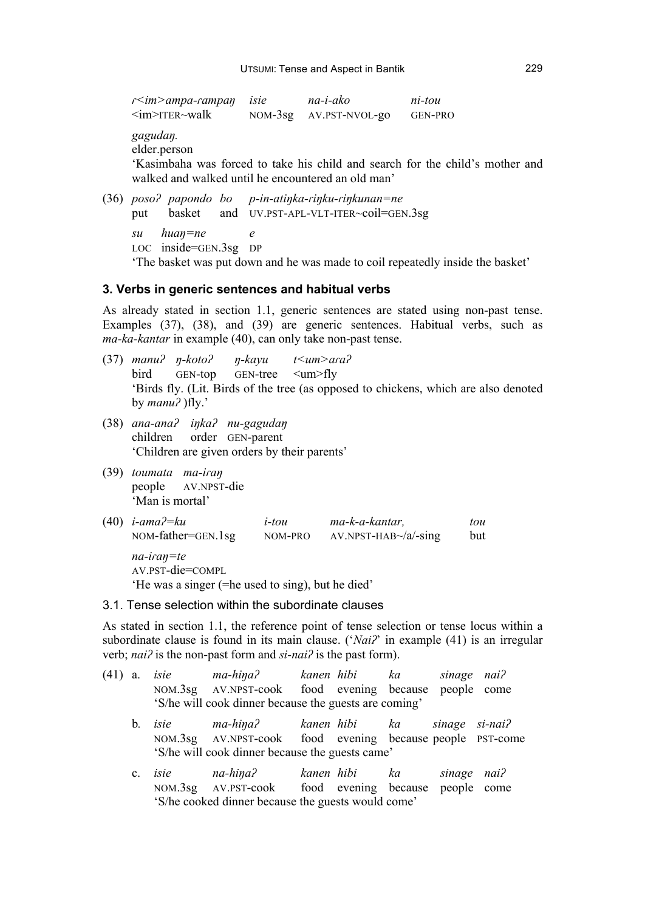| $r$ im > ampa-rampan | isie | na-i-ako                   | ni-tou  |
|----------------------|------|----------------------------|---------|
| $\leq$ im>ITER~walk  |      | $NOM-3sg$ $AV.PST-NVOL-go$ | GEN-PRO |

*gagudaŋ.*

elder.person

'Kasimbaha was forced to take his child and search for the child's mother and walked and walked until he encountered an old man'

(36) *posoʔ papondo bo p-in-atiŋka-ɾiŋku-ɾiŋkunan=ne* put basket and UV.PST-APL-VLT-ITER~coil=GEN.3sg *su huaŋ=ne e* LOC inside=GEN.3sg DP 'The basket was put down and he was made to coil repeatedly inside the basket'

#### **3. Verbs in generic sentences and habitual verbs**

As already stated in section 1.1, generic sentences are stated using non-past tense. Examples (37), (38), and (39) are generic sentences. Habitual verbs, such as *ma-ka-kantar* in example (40), can only take non-past tense.

- (37) *manuʔ ŋ-kotoʔ ŋ-kayu t<um>aɾaʔ* bird GEN-top GEN-tree <um>fly 'Birds fly. (Lit. Birds of the tree (as opposed to chickens, which are also denoted by *manuʔ* )fly.'
- (38) *ana-anaʔ iŋkaʔ nu-gagudaŋ* children order GEN-parent 'Children are given orders by their parents'
- (39) *toumata ma-iɾaŋ* people AV.NPST-die 'Man is mortal'

| (40) | i-ama?=ku                                                                                   | <i>i-tou</i> | ma-k-a-kantar,                  | tou |
|------|---------------------------------------------------------------------------------------------|--------------|---------------------------------|-----|
|      | NOM-father=GEN.1sg                                                                          | NOM-PRO      | $AV.NPST-HAB\sim/a\text{-sing}$ | but |
|      | $na$ -ira $n = te$<br>AV.PST-die=COMPL<br>'He was a singer (=he used to sing), but he died' |              |                                 |     |

### 3.1. Tense selection within the subordinate clauses

As stated in section 1.1, the reference point of tense selection or tense locus within a subordinate clause is found in its main clause. ('*Naiʔ*' in example (41) is an irregular verb; *naiʔ* is the non-past form and *si-naiʔ* is the past form).

| $(41)$ a. |             |      | isie ma-hina? kanen hibi ka                                                                                                                           |                                                       | sinage nai? |      |
|-----------|-------------|------|-------------------------------------------------------------------------------------------------------------------------------------------------------|-------------------------------------------------------|-------------|------|
|           |             |      | NOM.3sg AV.NPST-cook food evening because people come                                                                                                 |                                                       |             |      |
|           |             |      | 'S/he will cook dinner because the guests are coming'                                                                                                 |                                                       |             |      |
|           | b.          | isie | ma-hina? kanen hibi ka sinage si-nai?<br>NOM.3sg AV.NPST-cook food evening because people PST-come<br>'S/he will cook dinner because the guests came' |                                                       |             |      |
|           | $c_{\cdot}$ | isie | na-hina?<br>NOM.3sg AV.PST-cook                                                                                                                       | kanen hibi     ka<br>food evening because people come | sinage      | nai? |

'S/he cooked dinner because the guests would come'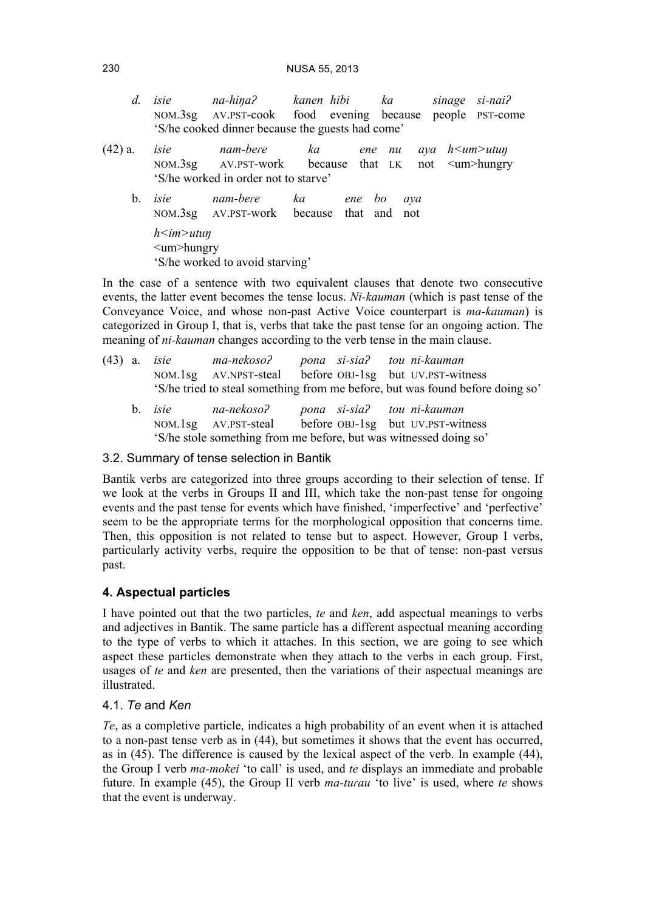#### 230 NUSA 55, 2013

- *d. isie na-hiŋaʔ kanen hibi ka sinage si-naiʔ* NOM.3sg AV.PST-cook food evening because people PST-come 'S/he cooked dinner because the guests had come'
- (42) a. *isie nam-beɾe ka ene nu aya h<um>utuŋ* NOM.3sg AV.PST-work because that LK not <um>hungry 'S/he worked in order not to starve'
	- b. *isie nam-beɾe ka ene bo aya* NOM.3sg AV.PST-work because that and not *h<im>utuŋ* <um>hungry 'S/he worked to avoid starving'

In the case of a sentence with two equivalent clauses that denote two consecutive events, the latter event becomes the tense locus. *Ni-kauman* (which is past tense of the Conveyance Voice, and whose non-past Active Voice counterpart is *ma-kauman*) is categorized in Group I, that is, verbs that take the past tense for an ongoing action. The meaning of *ni-kauman* changes according to the verb tense in the main clause.

- (43) a. *isie ma-nekosoʔ pona si-siaʔ tou ni-kauman* NOM.1sg AV.NPST-steal before OBJ-1sg but UV.PST-witness 'S/he tried to steal something from me before, but was found before doing so'
	- b. *isie na-nekosoʔ pona si-siaʔ tou ni-kauman* NOM.1sg AV.PST-steal before OBJ-1sg but UV.PST-witness 'S/he stole something from me before, but was witnessed doing so'

## 3.2. Summary of tense selection in Bantik

Bantik verbs are categorized into three groups according to their selection of tense. If we look at the verbs in Groups II and III, which take the non-past tense for ongoing events and the past tense for events which have finished, 'imperfective' and 'perfective' seem to be the appropriate terms for the morphological opposition that concerns time. Then, this opposition is not related to tense but to aspect. However, Group I verbs, particularly activity verbs, require the opposition to be that of tense: non-past versus past.

# **4. Aspectual particles**

I have pointed out that the two particles, *te* and *ken*, add aspectual meanings to verbs and adjectives in Bantik. The same particle has a different aspectual meaning according to the type of verbs to which it attaches. In this section, we are going to see which aspect these particles demonstrate when they attach to the verbs in each group. First, usages of *te* and *ken* are presented, then the variations of their aspectual meanings are illustrated.

## 4.1. *Te* and *Ken*

*Te*, as a completive particle, indicates a high probability of an event when it is attached to a non-past tense verb as in (44), but sometimes it shows that the event has occurred, as in (45). The difference is caused by the lexical aspect of the verb. In example (44), the Group I verb *ma-mokei* 'to call' is used, and *te* displays an immediate and probable future. In example (45), the Group II verb *ma-tuɾau* 'to live' is used, where *te* shows that the event is underway.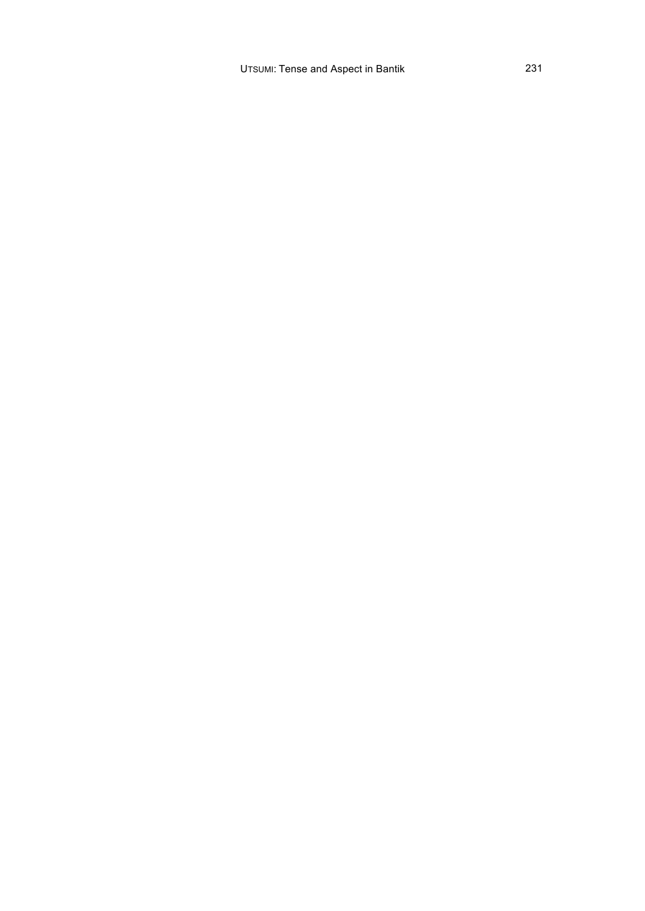UTSUMI: Tense and Aspect in Bantik 231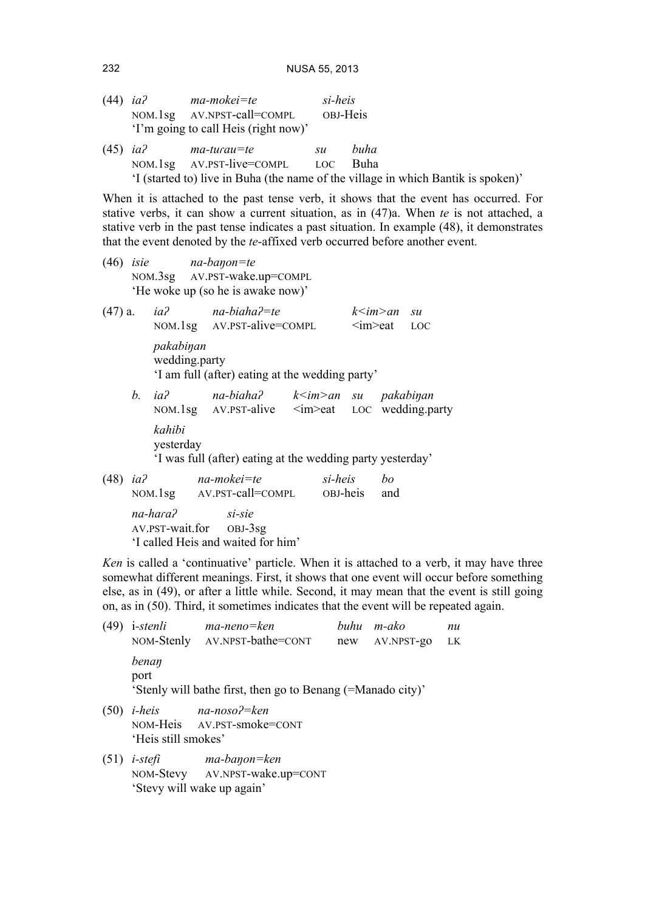|      | $(44)$ <i>ia</i> $?$ | ma-mokei=te<br>$NOM.1sg$ $AV.NPST-call = COMPL$<br>'I'm going to call Heis (right now)' | si-heis<br>OBJ-Heis       |                                                                                                          |
|------|----------------------|-----------------------------------------------------------------------------------------|---------------------------|----------------------------------------------------------------------------------------------------------|
| (45) | ia?                  | ma-turau=te<br>NOM.1sg AV.PST-live=COMPL LOC                                            | $\mathcal{S} \mathcal{U}$ | buha<br><b>Buha</b><br>'I (started to) live in Buha (the name of the village in which Bantik is spoken)' |

When it is attached to the past tense verb, it shows that the event has occurred. For stative verbs, it can show a current situation, as in (47)a. When *te* is not attached, a stative verb in the past tense indicates a past situation. In example (48), it demonstrates that the event denoted by the *te*-affixed verb occurred before another event.

(46) *isie na-baŋon=te* NOM.3sg AV.PST-wake.up=COMPL 'He woke up (so he is awake now)'

(47) a. *iaʔ na-biahaʔ=te k<im>an su* NOM.1sg AV.PST-alive=COMPL <im>eat LOC *pakabiŋan* wedding.party 'I am full (after) eating at the wedding party'  *b. iaʔ na-biahaʔ k<im>an su pakabiŋan* NOM.1sg AV.PST-alive <im>eat LOC wedding.party *kahibi* yesterday 'I was full (after) eating at the wedding party yesterday' (48) *iaʔ na-mokei=te si-heis bo*

| $(40)$ $\mu$ | $NOM.1$ sg | $\mu\mu\text{-}\mu\sigma\mu\text{-}\nu$<br>AV.PST-call=COMPL                 | $51$ – $11$ $\epsilon$ $13$<br>OBJ-heis | 1/1/2<br>and |
|--------------|------------|------------------------------------------------------------------------------|-----------------------------------------|--------------|
|              | na-hara?   | si-sie<br>$AV.PST-wait.$ for $OBJ-3sg$<br>'I called Heis and waited for him' |                                         |              |

*Ken* is called a 'continuative' particle. When it is attached to a verb, it may have three somewhat different meanings. First, it shows that one event will occur before something else, as in (49), or after a little while. Second, it may mean that the event is still going on, as in (50). Third, it sometimes indicates that the event will be repeated again.

| (49) | <i>i-stenli</i>                      | ma-neno=ken<br>NOM-Stenly AV.NPST-bathe=CONT                | huhu<br>new | $m - ako$<br>AV.NPST-go | nu<br>LK |
|------|--------------------------------------|-------------------------------------------------------------|-------------|-------------------------|----------|
|      | benan<br>port                        | 'Stenly will bathe first, then go to Benang (=Manado city)' |             |                         |          |
| (50) | <i>i-heis</i><br>'Heis still smokes' | na-noso?=ken<br>NOM-Heis AV.PST-smoke=CONT                  |             |                         |          |
| (51) | <i>i-stefi</i>                       | ma-banon=ken                                                |             |                         |          |

NOM-Stevy AV.NPST-wake.up=CONT 'Stevy will wake up again'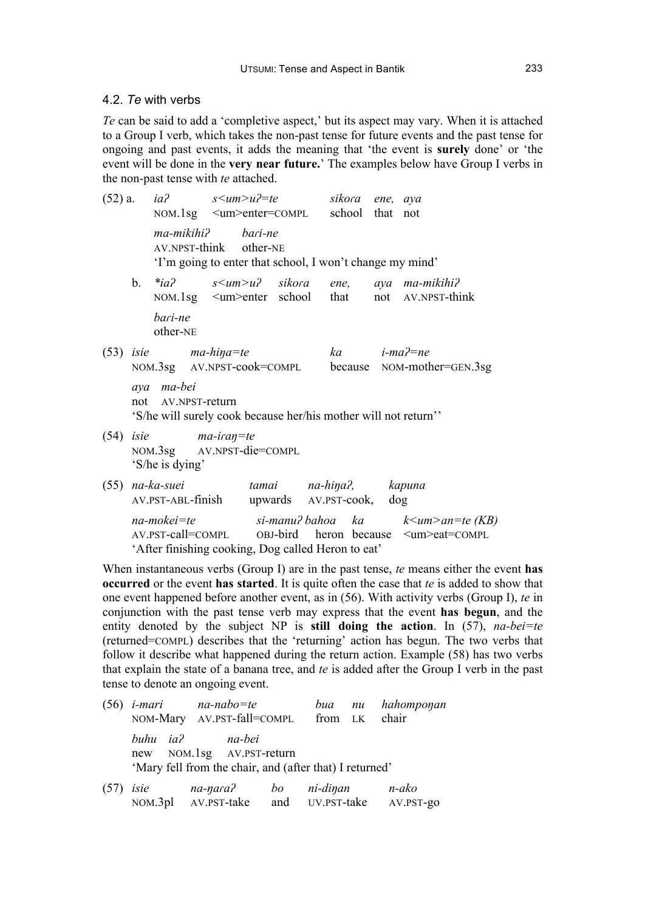#### 4.2. *Te* with verbs

*Te* can be said to add a 'completive aspect,' but its aspect may vary. When it is attached to a Group I verb, which takes the non-past tense for future events and the past tense for ongoing and past events, it adds the meaning that 'the event is **surely** done' or 'the event will be done in the **very near future.**' The examples below have Group I verbs in the non-past tense with *te* attached.

| $(52)$ a. |      |                                      | ia? s <um>u?=te sikora ene, aya<br/>NOM.1sg <um>enter=COMPL school that not</um></um>         |                        |  |                                                                                                                               |
|-----------|------|--------------------------------------|-----------------------------------------------------------------------------------------------|------------------------|--|-------------------------------------------------------------------------------------------------------------------------------|
|           |      | ma-mikihi?                           | bari-ne<br>AV.NPST-think other-NE<br>'I'm going to enter that school, I won't change my mind' |                        |  |                                                                                                                               |
|           |      |                                      | b. $*ia$ ? $s$ <um><math>u</math>? sikora ene, aya ma-mikihi?</um>                            |                        |  | NOM.1sg <um>enter school that not AV.NPST-think</um>                                                                          |
|           |      | bari-ne<br>other-NE                  |                                                                                               |                        |  |                                                                                                                               |
|           |      | $(53)$ isie ma-hing=te               |                                                                                               |                        |  | ka i-ma?=ne<br>NOM.3sg AV.NPST-cook=COMPL because NOM-mother=GEN.3sg                                                          |
|           | not  | aya ma-bei<br>AV.NPST-return         | 'S/he will surely cook because her/his mother will not return''                               |                        |  |                                                                                                                               |
| (54)      | isie | ma-ira $\eta$ =te<br>'S/he is dying' | NOM.3sg AV.NPST-die=COMPL                                                                     |                        |  |                                                                                                                               |
|           |      | $(55)$ na-ka-suei                    | AV.PST-ABL-finish upwards AV.PST-cook, dog                                                    | tamai na-hina?, kapuna |  |                                                                                                                               |
|           |      |                                      | 'After finishing cooking, Dog called Heron to eat'                                            |                        |  | $na-mokei = te$ $si-manu^2 bahoa$ $ka$ $k < um > an = te (KB)$<br>AV.PST-call=COMPL OBJ-bird heron because <um>eat=COMPL</um> |

When instantaneous verbs (Group I) are in the past tense, *te* means either the event **has occurred** or the event **has started**. It is quite often the case that *te* is added to show that one event happened before another event, as in (56). With activity verbs (Group I), *te* in conjunction with the past tense verb may express that the event **has begun**, and the entity denoted by the subject NP is **still doing the action**. In (57), *na-bei=te* (returned=COMPL) describes that the 'returning' action has begun. The two verbs that follow it describe what happened during the return action. Example (58) has two verbs that explain the state of a banana tree, and *te* is added after the Group I verb in the past tense to denote an ongoing event.

|  |  | $(56)$ <i>i-mari na-nabo=te</i>              | NOM-Mary AV.PST-fall=COMPL from LK chair                | bua nu hahomponan                                  |
|--|--|----------------------------------------------|---------------------------------------------------------|----------------------------------------------------|
|  |  | buhu ia? na-bei<br>new NOM.1sg AV.PST-return |                                                         |                                                    |
|  |  |                                              | 'Mary fell from the chair, and (after that) I returned' |                                                    |
|  |  |                                              |                                                         | $(57)$ is a second to the set in the set of $(57)$ |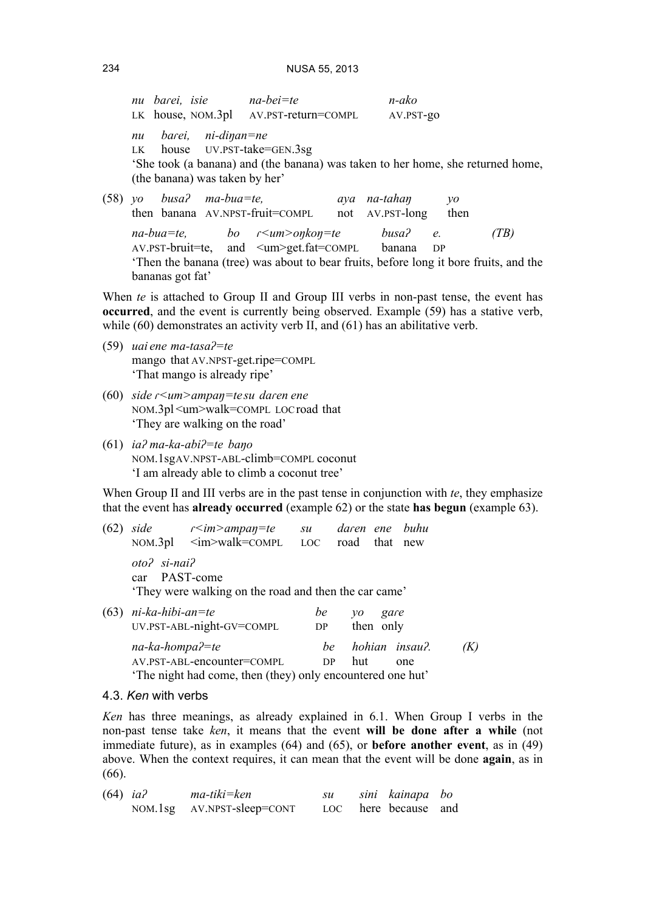*nu baɾei, isie na-bei=te n-ako* LK house, NOM.3pl AV.PST-return=COMPL AV.PST-go  *nu baɾei, ni-diŋan=ne* LK house UV.PST-take=GEN.3sg 'She took (a banana) and (the banana) was taken to her home, she returned home, (the banana) was taken by her'

(58) *yo busaʔ ma-bua=te, aya na-tahaŋ yo* then banana AV.NPST-fruit=COMPL not AV.PST-long then *na-bua=te, bo ɾ<um>oŋkoŋ=te busaʔ e. (TB)* AV.PST-bruit=te, and <um>get.fat=COMPL banana DP 'Then the banana (tree) was about to bear fruits, before long it bore fruits, and the bananas got fat'

When *te* is attached to Group II and Group III verbs in non-past tense, the event has **occurred**, and the event is currently being observed. Example (59) has a stative verb, while (60) demonstrates an activity verb II, and (61) has an abilitative verb.

- (59) *uai ene ma-tasaʔ=te* mango that AV.NPST-get.ripe=COMPL 'That mango is already ripe'
- (60) *side ɾ<um>ampaŋ=te su daɾen ene* NOM.3pl <um>walk=COMPL LOCroad that 'They are walking on the road'
- (61) *iaʔ ma-ka-abiʔ=te baŋo* NOM.1sgAV.NPST-ABL-climb=COMPL coconut 'I am already able to climb a coconut tree'

When Group II and III verbs are in the past tense in conjunction with *te*, they emphasize that the event has **already occurred** (example 62) or the state **has begun** (example 63).

(62) *side ɾ<im>ampaŋ=te su daɾen ene buhu* NOM.3pl <im>walk=COMPL LOC road that new *otoʔ si-naiʔ* car PAST-come 'They were walking on the road and then the car came' (63) *ni-ka-hibi-an=te be yo gaɾe* UV.PST-ABL-night-GV=COMPL DP then only *na-ka-hompaʔ=te be hohian insauʔ. (K)*

AV.PST-ABL-encounter=COMPL DP hut one 'The night had come, then (they) only encountered one hut'

#### 4.3. *Ken* with verbs

*Ken* has three meanings, as already explained in 6.1. When Group I verbs in the non-past tense take *ken*, it means that the event **will be done after a while** (not immediate future), as in examples (64) and (65), or **before another event**, as in (49) above. When the context requires, it can mean that the event will be done **again**, as in (66).

| $(64)$ <i>ia</i> ? | ma-tiki=ken                |  | sini kainapa bo      |  |
|--------------------|----------------------------|--|----------------------|--|
|                    | NOM.1sg AV.NPST-sleep=CONT |  | LOC here because and |  |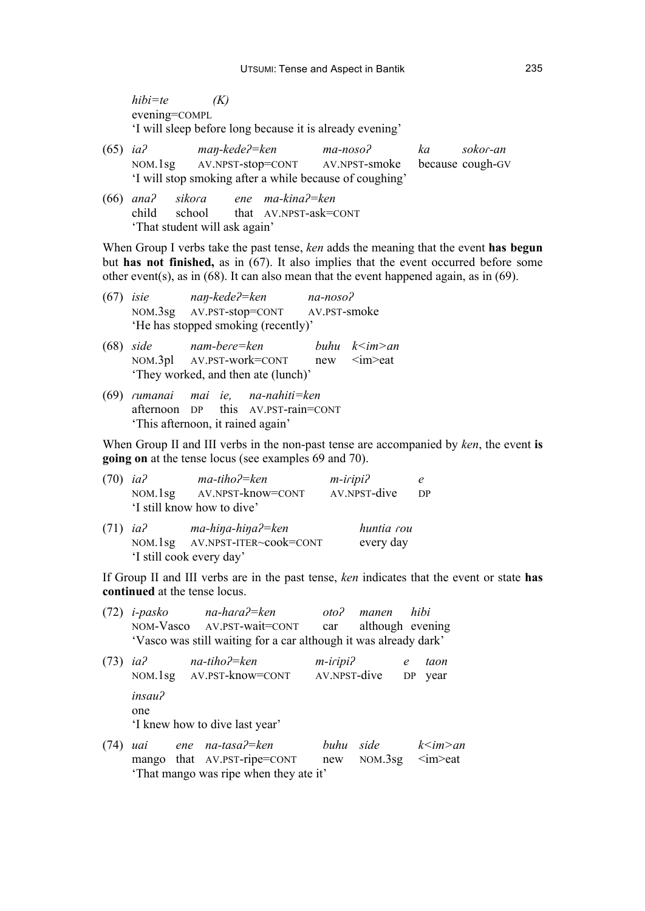*hibi=te (K)* evening=COMPL 'I will sleep before long because it is already evening'

- (65) *iaʔ maŋ-kedeʔ=ken ma-nosoʔ ka sokoɾ-an* NOM.1sg AV.NPST-stop=CONT AV.NPST-smoke because cough-GV 'I will stop smoking after a while because of coughing'
- (66) *anaʔ sikoɾa ene ma-kinaʔ=ken* child school that AV.NPST-ask=CONT 'That student will ask again'

When Group I verbs take the past tense, *ken* adds the meaning that the event **has begun** but **has not finished,** as in (67). It also implies that the event occurred before some other event(s), as in  $(68)$ . It can also mean that the event happened again, as in  $(69)$ .

- (67) *isie naŋ-kedeʔ=ken na-nosoʔ* NOM.3sg AV.PST-stop=CONT AV.PST-smoke 'He has stopped smoking (recently)'
- (68) *side nam-beɾe=ken buhu k<im>an* NOM.3pl AV.PST-work=CONT new <im>eat 'They worked, and then ate (lunch)'
- (69) *ɾumanai mai ie, na-nahiti=ken* afternoon DP this AV.PST-rain=CONT 'This afternoon, it rained again'

When Group II and III verbs in the non-past tense are accompanied by *ken*, the event **is going on** at the tense locus (see examples 69 and 70).

| (70)                 | ia?     | $ma$ -tiho?=ken                | $m$ -iripi $n$ |    |
|----------------------|---------|--------------------------------|----------------|----|
|                      | NOM.1sg | AV.NPST-know=CONT              | AV.NPST-dive   | DP |
|                      |         | 'I still know how to dive'     |                |    |
| $(71)$ <i>ia</i> $?$ |         | $ma$ -hina-hina?=ken           | huntia rou     |    |
|                      |         | NOM.1sg AV.NPST-ITER~cook=CONT | every day      |    |
|                      |         | 'I still cook every day'       |                |    |

If Group II and III verbs are in the past tense, *ken* indicates that the event or state **has continued** at the tense locus.

| (72) |                                                                  | i-pasko na-hara?=ken                  | oto?           | manen            | hibi              |  |  |  |
|------|------------------------------------------------------------------|---------------------------------------|----------------|------------------|-------------------|--|--|--|
|      |                                                                  | NOM-Vasco AV.PST-wait=CONT            | car            | although evening |                   |  |  |  |
|      | 'Vasco was still waiting for a car although it was already dark' |                                       |                |                  |                   |  |  |  |
| (73) | ia?                                                              | na-tiho?=ken                          | $m$ -iripi $n$ | e                | taon              |  |  |  |
|      |                                                                  | NOM.1sg AV.PST-know=CONT AV.NPST-dive |                |                  | <b>DP</b><br>year |  |  |  |
|      | insau?                                                           |                                       |                |                  |                   |  |  |  |
|      | one                                                              |                                       |                |                  |                   |  |  |  |
|      | 'I knew how to dive last year'                                   |                                       |                |                  |                   |  |  |  |
| (74) | uai                                                              | ene na-tasa?= $ken$                   | buhu           | side             | k <im>an</im>     |  |  |  |
|      |                                                                  | mango that AV.PST-ripe=CONT           | new            | NOM.3sg          | $\sin$ > eat      |  |  |  |

'That mango was ripe when they ate it'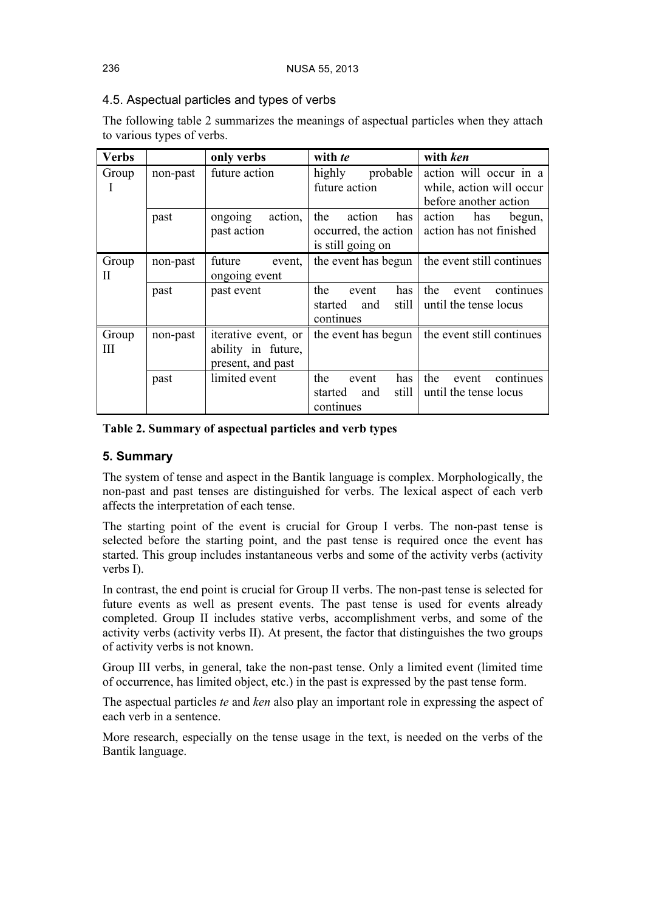# 4.5. Aspectual particles and types of verbs

The following table 2 summarizes the meanings of aspectual particles when they attach to various types of verbs.

| <b>Verbs</b> |                                               | only verbs                                                     | with te                                                           | with ken                                                                    |
|--------------|-----------------------------------------------|----------------------------------------------------------------|-------------------------------------------------------------------|-----------------------------------------------------------------------------|
| Group<br>1   | non-past                                      | future action                                                  | highly<br>probable<br>future action                               | action will occur in a<br>while, action will occur<br>before another action |
|              | past                                          | action,<br>ongoing<br>past action                              | the<br>action<br>has<br>occurred, the action<br>is still going on | action<br>has<br>begun,<br>action has not finished                          |
| Group<br>Н   | future<br>event.<br>non-past<br>ongoing event |                                                                | the event has begun                                               | the event still continues                                                   |
|              | past                                          | past event                                                     | the<br>has<br>event<br>still<br>started<br>and<br>continues       | the<br>continues<br>event<br>until the tense locus                          |
| Group<br>Ш   | non-past                                      | iterative event, or<br>ability in future,<br>present, and past | the event has begun                                               | the event still continues                                                   |
|              | past                                          | limited event                                                  | the<br>has<br>event<br>still<br>started<br>and<br>continues       | the<br>continues<br>event<br>until the tense locus                          |

## **Table 2. Summary of aspectual particles and verb types**

## **5. Summary**

The system of tense and aspect in the Bantik language is complex. Morphologically, the non-past and past tenses are distinguished for verbs. The lexical aspect of each verb affects the interpretation of each tense.

The starting point of the event is crucial for Group I verbs. The non-past tense is selected before the starting point, and the past tense is required once the event has started. This group includes instantaneous verbs and some of the activity verbs (activity verbs I).

In contrast, the end point is crucial for Group II verbs. The non-past tense is selected for future events as well as present events. The past tense is used for events already completed. Group II includes stative verbs, accomplishment verbs, and some of the activity verbs (activity verbs II). At present, the factor that distinguishes the two groups of activity verbs is not known.

Group III verbs, in general, take the non-past tense. Only a limited event (limited time of occurrence, has limited object, etc.) in the past is expressed by the past tense form.

The aspectual particles *te* and *ken* also play an important role in expressing the aspect of each verb in a sentence.

More research, especially on the tense usage in the text, is needed on the verbs of the Bantik language.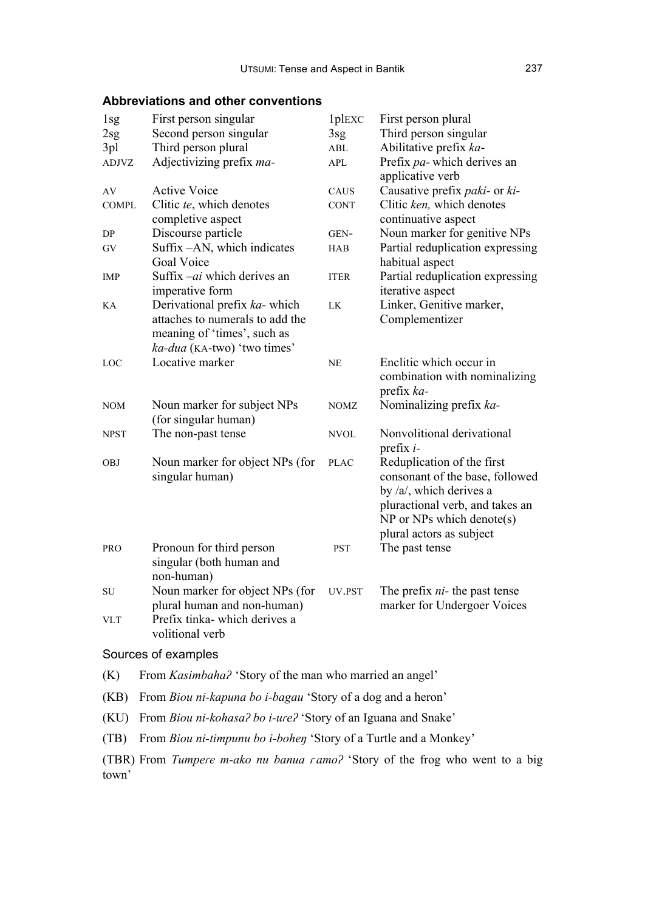#### **Abbreviations and other conventions**

| 1sg<br>2sg<br>3pl<br><b>ADJVZ</b> | First person singular<br>Second person singular<br>Third person plural<br>Adjectivizing prefix ma-                             | 1plEXC<br>3sg<br><b>ABL</b><br><b>APL</b> | First person plural<br>Third person singular<br>Abilitative prefix ka-<br>Prefix pa- which derives an                                                                                    |
|-----------------------------------|--------------------------------------------------------------------------------------------------------------------------------|-------------------------------------------|------------------------------------------------------------------------------------------------------------------------------------------------------------------------------------------|
|                                   |                                                                                                                                |                                           | applicative verb                                                                                                                                                                         |
| AV                                | <b>Active Voice</b>                                                                                                            | CAUS                                      | Causative prefix paki- or ki-                                                                                                                                                            |
| <b>COMPL</b>                      | Clitic te, which denotes<br>completive aspect                                                                                  | <b>CONT</b>                               | Clitic ken, which denotes<br>continuative aspect                                                                                                                                         |
| DP                                | Discourse particle                                                                                                             | GEN-                                      | Noun marker for genitive NPs                                                                                                                                                             |
| GV                                | Suffix -AN, which indicates<br>Goal Voice                                                                                      | <b>HAB</b>                                | Partial reduplication expressing<br>habitual aspect                                                                                                                                      |
| IMP                               | Suffix $-ai$ which derives an<br>imperative form                                                                               | <b>ITER</b>                               | Partial reduplication expressing<br>iterative aspect                                                                                                                                     |
| KА                                | Derivational prefix ka- which<br>attaches to numerals to add the<br>meaning of 'times', such as<br>ka-dua (KA-two) 'two times' | LK                                        | Linker, Genitive marker,<br>Complementizer                                                                                                                                               |
| LOC                               | Locative marker                                                                                                                | <b>NE</b>                                 | Enclitic which occur in<br>combination with nominalizing<br>prefix ka-                                                                                                                   |
| <b>NOM</b>                        | Noun marker for subject NPs<br>(for singular human)                                                                            | NOMZ                                      | Nominalizing prefix ka-                                                                                                                                                                  |
| <b>NPST</b>                       | The non-past tense                                                                                                             | <b>NVOL</b>                               | Nonvolitional derivational<br>prefix $i$ -                                                                                                                                               |
| <b>OBJ</b>                        | Noun marker for object NPs (for<br>singular human)                                                                             | <b>PLAC</b>                               | Reduplication of the first<br>consonant of the base, followed<br>by /a/, which derives a<br>pluractional verb, and takes an<br>$NP$ or $NPs$ which denote(s)<br>plural actors as subject |
| <b>PRO</b>                        | Pronoun for third person<br>singular (both human and<br>non-human)                                                             | <b>PST</b>                                | The past tense                                                                                                                                                                           |
| SU                                | Noun marker for object NPs (for<br>plural human and non-human)                                                                 | UV.PST                                    | The prefix <i>ni</i> - the past tense<br>marker for Undergoer Voices                                                                                                                     |
| <b>VLT</b>                        | Prefix tinka-which derives a<br>volitional verb                                                                                |                                           |                                                                                                                                                                                          |

## Sources of examples

- (K) From *Kasimbahaʔ* 'Story of the man who married an angel'
- (KB) From *Biou ni-kapuna bo i-bagau* 'Story of a dog and a heron'
- (KU) From *Biou ni-kohasaʔ bo i-uɾeʔ* 'Story of an Iguana and Snake'
- (TB) From *Biou ni-timpunu bo i-boheŋ* 'Story of a Turtle and a Monkey'
- (TBR) From *Tumpeɾe m-ako nu banua ɾ amoʔ* 'Story of the frog who went to a big town'